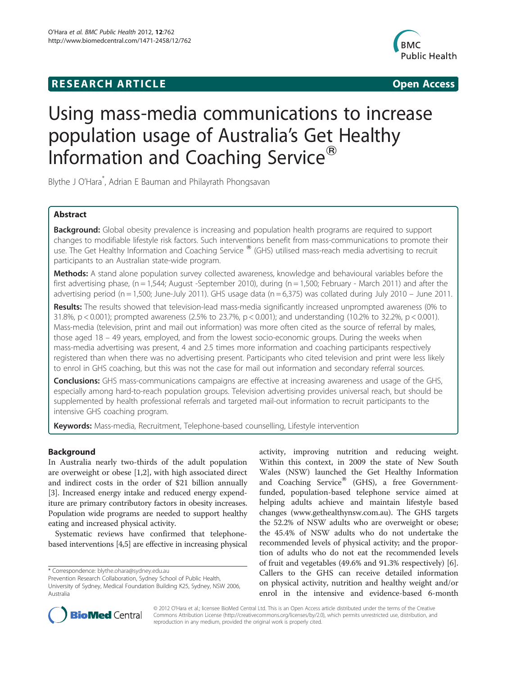# **RESEARCH ARTICLE Example 2014 12:30 The SEAR CHA R TIGGS**



# Using mass-media communications to increase population usage of Australia's Get Healthy Information and Coaching Service<sup>®</sup>

Blythe J O'Hara\* , Adrian E Bauman and Philayrath Phongsavan

# Abstract

**Background:** Global obesity prevalence is increasing and population health programs are required to support changes to modifiable lifestyle risk factors. Such interventions benefit from mass-communications to promote their use. The Get Healthy Information and Coaching Service ® (GHS) utilised mass-reach media advertising to recruit participants to an Australian state-wide program.

Methods: A stand alone population survey collected awareness, knowledge and behavioural variables before the first advertising phase, (n = 1,544; August -September 2010), during (n = 1,500; February - March 2011) and after the advertising period (n = 1,500; June-July 2011). GHS usage data (n = 6,375) was collated during July 2010 – June 2011.

Results: The results showed that television-lead mass-media significantly increased unprompted awareness (0% to 31.8%, p < 0.001); prompted awareness (2.5% to 23.7%, p < 0.001); and understanding (10.2% to 32.2%, p < 0.001). Mass-media (television, print and mail out information) was more often cited as the source of referral by males, those aged 18 – 49 years, employed, and from the lowest socio-economic groups. During the weeks when mass-media advertising was present, 4 and 2.5 times more information and coaching participants respectively registered than when there was no advertising present. Participants who cited television and print were less likely to enrol in GHS coaching, but this was not the case for mail out information and secondary referral sources.

**Conclusions:** GHS mass-communications campaigns are effective at increasing awareness and usage of the GHS, especially among hard-to-reach population groups. Television advertising provides universal reach, but should be supplemented by health professional referrals and targeted mail-out information to recruit participants to the intensive GHS coaching program.

Keywords: Mass-media, Recruitment, Telephone-based counselling, Lifestyle intervention

# Background

In Australia nearly two-thirds of the adult population are overweight or obese [[1,2\]](#page-9-0), with high associated direct and indirect costs in the order of \$21 billion annually [[3\]](#page-9-0). Increased energy intake and reduced energy expenditure are primary contributory factors in obesity increases. Population wide programs are needed to support healthy eating and increased physical activity.

Systematic reviews have confirmed that telephonebased interventions [\[4,5\]](#page-9-0) are effective in increasing physical activity, improving nutrition and reducing weight. Within this context, in 2009 the state of New South Wales (NSW) launched the Get Healthy Information and Coaching Service<sup>®</sup> (GHS), a free Governmentfunded, population-based telephone service aimed at helping adults achieve and maintain lifestyle based changes ([www.gethealthynsw.com.au](http://www.gethealthynsw.com.au)). The GHS targets the 52.2% of NSW adults who are overweight or obese; the 45.4% of NSW adults who do not undertake the recommended levels of physical activity; and the proportion of adults who do not eat the recommended levels of fruit and vegetables (49.6% and 91.3% respectively) [\[6](#page-9-0)]. Callers to the GHS can receive detailed information on physical activity, nutrition and healthy weight and/or enrol in the intensive and evidence-based 6-month



© 2012 O'Hara et al.; licensee BioMed Central Ltd. This is an Open Access article distributed under the terms of the Creative Commons Attribution License [\(http://creativecommons.org/licenses/by/2.0\)](http://creativecommons.org/licenses/by/2.0), which permits unrestricted use, distribution, and reproduction in any medium, provided the original work is properly cited.

<sup>\*</sup> Correspondence: [blythe.ohara@sydney.edu.au](mailto:blythe.ohara@sydney.edu.au)

Prevention Research Collaboration, Sydney School of Public Health, University of Sydney, Medical Foundation Building K25, Sydney, NSW 2006, Australia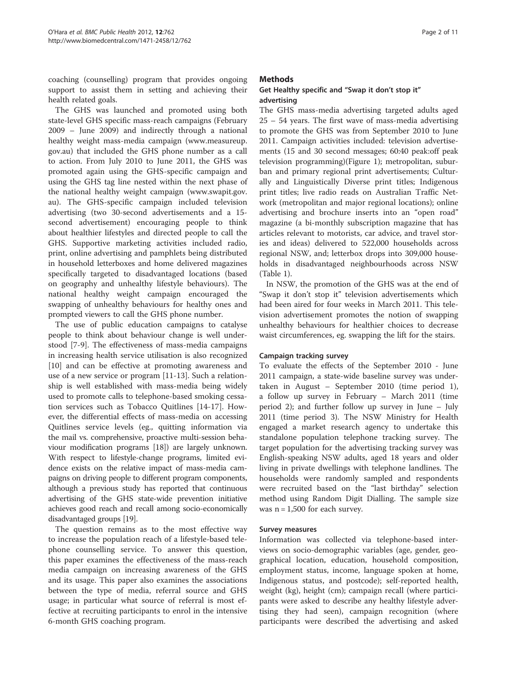coaching (counselling) program that provides ongoing support to assist them in setting and achieving their health related goals.

The GHS was launched and promoted using both state-level GHS specific mass-reach campaigns (February 2009 – June 2009) and indirectly through a national healthy weight mass-media campaign ([www.measureup.](http://www.measureup.gov.au) [gov.au\)](http://www.measureup.gov.au) that included the GHS phone number as a call to action. From July 2010 to June 2011, the GHS was promoted again using the GHS-specific campaign and using the GHS tag line nested within the next phase of the national healthy weight campaign [\(www.swapit.gov.](http://www.swapit.gov.au) [au](http://www.swapit.gov.au)). The GHS-specific campaign included television advertising (two 30-second advertisements and a 15 second advertisement) encouraging people to think about healthier lifestyles and directed people to call the GHS. Supportive marketing activities included radio, print, online advertising and pamphlets being distributed in household letterboxes and home delivered magazines specifically targeted to disadvantaged locations (based on geography and unhealthy lifestyle behaviours). The national healthy weight campaign encouraged the swapping of unhealthy behaviours for healthy ones and prompted viewers to call the GHS phone number.

The use of public education campaigns to catalyse people to think about behaviour change is well understood [\[7-9](#page-9-0)]. The effectiveness of mass-media campaigns in increasing health service utilisation is also recognized [[10\]](#page-9-0) and can be effective at promoting awareness and use of a new service or program [\[11-13](#page-9-0)]. Such a relationship is well established with mass-media being widely used to promote calls to telephone-based smoking cessation services such as Tobacco Quitlines [\[14](#page-9-0)-[17\]](#page-9-0). However, the differential effects of mass-media on accessing Quitlines service levels (eg., quitting information via the mail vs. comprehensive, proactive multi-session behaviour modification programs [[18](#page-9-0)]) are largely unknown. With respect to lifestyle-change programs, limited evidence exists on the relative impact of mass-media campaigns on driving people to different program components, although a previous study has reported that continuous advertising of the GHS state-wide prevention initiative achieves good reach and recall among socio-economically disadvantaged groups [\[19\]](#page-9-0).

The question remains as to the most effective way to increase the population reach of a lifestyle-based telephone counselling service. To answer this question, this paper examines the effectiveness of the mass-reach media campaign on increasing awareness of the GHS and its usage. This paper also examines the associations between the type of media, referral source and GHS usage; in particular what source of referral is most effective at recruiting participants to enrol in the intensive 6-month GHS coaching program.

## Methods

# Get Healthy specific and "Swap it don't stop it" advertising

The GHS mass-media advertising targeted adults aged 25 – 54 years. The first wave of mass-media advertising to promote the GHS was from September 2010 to June 2011. Campaign activities included: television advertisements (15 and 30 second messages; 60:40 peak:off peak television programming)(Figure [1\)](#page-2-0); metropolitan, suburban and primary regional print advertisements; Culturally and Linguistically Diverse print titles; Indigenous print titles; live radio reads on Australian Traffic Network (metropolitan and major regional locations); online advertising and brochure inserts into an "open road" magazine (a bi-monthly subscription magazine that has articles relevant to motorists, car advice, and travel stories and ideas) delivered to 522,000 households across regional NSW, and; letterbox drops into 309,000 households in disadvantaged neighbourhoods across NSW (Table [1\)](#page-3-0).

In NSW, the promotion of the GHS was at the end of "Swap it don't stop it" television advertisements which had been aired for four weeks in March 2011. This television advertisement promotes the notion of swapping unhealthy behaviours for healthier choices to decrease waist circumferences, eg. swapping the lift for the stairs.

## Campaign tracking survey

To evaluate the effects of the September 2010 - June 2011 campaign, a state-wide baseline survey was undertaken in August – September 2010 (time period 1), a follow up survey in February – March 2011 (time period 2); and further follow up survey in June – July 2011 (time period 3). The NSW Ministry for Health engaged a market research agency to undertake this standalone population telephone tracking survey. The target population for the advertising tracking survey was English-speaking NSW adults, aged 18 years and older living in private dwellings with telephone landlines. The households were randomly sampled and respondents were recruited based on the "last birthday" selection method using Random Digit Dialling. The sample size was  $n = 1,500$  for each survey.

#### Survey measures

Information was collected via telephone-based interviews on socio-demographic variables (age, gender, geographical location, education, household composition, employment status, income, language spoken at home, Indigenous status, and postcode); self-reported health, weight (kg), height (cm); campaign recall (where participants were asked to describe any healthy lifestyle advertising they had seen), campaign recognition (where participants were described the advertising and asked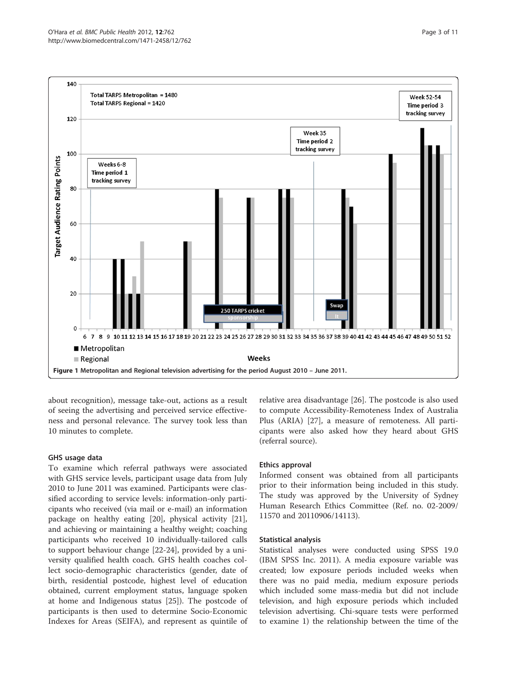<span id="page-2-0"></span>

about recognition), message take-out, actions as a result of seeing the advertising and perceived service effectiveness and personal relevance. The survey took less than 10 minutes to complete.

## GHS usage data

To examine which referral pathways were associated with GHS service levels, participant usage data from July 2010 to June 2011 was examined. Participants were classified according to service levels: information-only participants who received (via mail or e-mail) an information package on healthy eating [[20\]](#page-9-0), physical activity [\[21](#page-9-0)], and achieving or maintaining a healthy weight; coaching participants who received 10 individually-tailored calls to support behaviour change [[22-24](#page-9-0)], provided by a university qualified health coach. GHS health coaches collect socio-demographic characteristics (gender, date of birth, residential postcode, highest level of education obtained, current employment status, language spoken at home and Indigenous status [[25](#page-9-0)]). The postcode of participants is then used to determine Socio-Economic Indexes for Areas (SEIFA), and represent as quintile of relative area disadvantage [\[26](#page-9-0)]. The postcode is also used to compute Accessibility-Remoteness Index of Australia Plus (ARIA) [\[27](#page-9-0)], a measure of remoteness. All participants were also asked how they heard about GHS (referral source).

#### Ethics approval

Informed consent was obtained from all participants prior to their information being included in this study. The study was approved by the University of Sydney Human Research Ethics Committee (Ref. no. 02-2009/ 11570 and 20110906/14113).

#### Statistical analysis

Statistical analyses were conducted using SPSS 19.0 (IBM SPSS Inc. 2011). A media exposure variable was created; low exposure periods included weeks when there was no paid media, medium exposure periods which included some mass-media but did not include television, and high exposure periods which included television advertising. Chi-square tests were performed to examine 1) the relationship between the time of the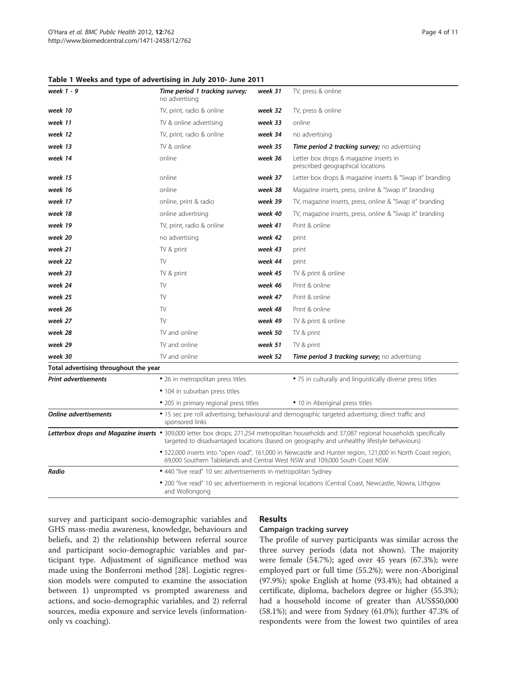<span id="page-3-0"></span>

|  |  |  |  |  | Table 1 Weeks and type of advertising in July 2010- June 2011 |
|--|--|--|--|--|---------------------------------------------------------------|
|--|--|--|--|--|---------------------------------------------------------------|

| week 1 - 9                                                                                                                                             | Time period 1 tracking survey;<br>no advertising                                                                          | week 31 | TV, press & online                                                                                                                                                                                                                          |  |  |  |  |  |  |
|--------------------------------------------------------------------------------------------------------------------------------------------------------|---------------------------------------------------------------------------------------------------------------------------|---------|---------------------------------------------------------------------------------------------------------------------------------------------------------------------------------------------------------------------------------------------|--|--|--|--|--|--|
| week 10                                                                                                                                                | TV, print, radio & online                                                                                                 | week 32 | TV, press & online                                                                                                                                                                                                                          |  |  |  |  |  |  |
| week 11                                                                                                                                                | TV & online advertising                                                                                                   | week 33 | online                                                                                                                                                                                                                                      |  |  |  |  |  |  |
| week 12                                                                                                                                                | TV, print, radio & online                                                                                                 | week 34 | no advertising                                                                                                                                                                                                                              |  |  |  |  |  |  |
| week 13                                                                                                                                                | TV & online                                                                                                               | week 35 | <b>Time period 2 tracking survey;</b> no advertising                                                                                                                                                                                        |  |  |  |  |  |  |
| week 14                                                                                                                                                | online                                                                                                                    | week 36 | Letter box drops & magazine inserts in<br>prescribed geographical locations                                                                                                                                                                 |  |  |  |  |  |  |
| week 15                                                                                                                                                | online                                                                                                                    | week 37 | Letter box drops & magazine inserts & "Swap it" branding                                                                                                                                                                                    |  |  |  |  |  |  |
| week 16                                                                                                                                                | online                                                                                                                    | week 38 | Magazine inserts, press, online & "Swap it" branding                                                                                                                                                                                        |  |  |  |  |  |  |
| week 17                                                                                                                                                | online, print & radio                                                                                                     | week 39 | TV, magazine inserts, press, online & "Swap it" branding                                                                                                                                                                                    |  |  |  |  |  |  |
| week 18                                                                                                                                                | online advertising                                                                                                        | week 40 | TV, magazine inserts, press, online & "Swap it" branding                                                                                                                                                                                    |  |  |  |  |  |  |
| week 19                                                                                                                                                | TV, print, radio & online                                                                                                 | week 41 | Print & online                                                                                                                                                                                                                              |  |  |  |  |  |  |
| week 20                                                                                                                                                | no advertising                                                                                                            | week 42 | print                                                                                                                                                                                                                                       |  |  |  |  |  |  |
| week 21                                                                                                                                                | TV & print                                                                                                                | week 43 | print                                                                                                                                                                                                                                       |  |  |  |  |  |  |
| week 22                                                                                                                                                | TV                                                                                                                        | week 44 | print                                                                                                                                                                                                                                       |  |  |  |  |  |  |
| week 23                                                                                                                                                | TV & print                                                                                                                | week 45 | TV & print & online                                                                                                                                                                                                                         |  |  |  |  |  |  |
| week 24                                                                                                                                                | TV                                                                                                                        | week 46 | Print & online                                                                                                                                                                                                                              |  |  |  |  |  |  |
| week 25                                                                                                                                                | TV                                                                                                                        | week 47 | Print & online                                                                                                                                                                                                                              |  |  |  |  |  |  |
| week 26                                                                                                                                                | TV                                                                                                                        | week 48 | Print & online                                                                                                                                                                                                                              |  |  |  |  |  |  |
| week 27                                                                                                                                                | TV                                                                                                                        | week 49 | TV & print & online                                                                                                                                                                                                                         |  |  |  |  |  |  |
| week 28                                                                                                                                                | TV and online                                                                                                             | week 50 | TV & print                                                                                                                                                                                                                                  |  |  |  |  |  |  |
| week 29                                                                                                                                                | TV and online                                                                                                             | week 51 | TV & print                                                                                                                                                                                                                                  |  |  |  |  |  |  |
| week 30                                                                                                                                                | TV and online                                                                                                             | week 52 | Time period 3 tracking survey; no advertising                                                                                                                                                                                               |  |  |  |  |  |  |
| Total advertising throughout the year                                                                                                                  |                                                                                                                           |         |                                                                                                                                                                                                                                             |  |  |  |  |  |  |
| <b>Print advertisements</b>                                                                                                                            | • 26 in metropolitan press titles                                                                                         |         | • 75 in culturally and linguistically diverse press titles                                                                                                                                                                                  |  |  |  |  |  |  |
|                                                                                                                                                        | • 104 in suburban press titles                                                                                            |         |                                                                                                                                                                                                                                             |  |  |  |  |  |  |
|                                                                                                                                                        | • 205 in primary regional press titles                                                                                    |         | • 10 in Aboriginal press titles                                                                                                                                                                                                             |  |  |  |  |  |  |
| <b>Online advertisements</b><br>• 15 sec pre roll advertising; behavioural and demographic targeted advertising; direct traffic and<br>sponsored links |                                                                                                                           |         |                                                                                                                                                                                                                                             |  |  |  |  |  |  |
|                                                                                                                                                        |                                                                                                                           |         | Letterbox drops and Magazine inserts • 309,000 letter box drops; 271,254 metropolitan households and 37,087 regional households specifically<br>targeted to disadvantaged locations (based on geography and unhealthy lifestyle behaviours) |  |  |  |  |  |  |
|                                                                                                                                                        |                                                                                                                           |         | . 522,000 inserts into "open road", 161,000 in Newcastle and Hunter region, 121,000 in North Coast region,<br>69,000 Southern Tablelands and Central West NSW and 109,000 South Coast NSW.                                                  |  |  |  |  |  |  |
| Radio                                                                                                                                                  | • 440 "live read" 10 sec advertisements in metropolitan Sydney                                                            |         |                                                                                                                                                                                                                                             |  |  |  |  |  |  |
|                                                                                                                                                        | • 200 "live read" 10 sec advertisements in regional locations (Central Coast, Newcastle, Nowra, Lithgow<br>and Wollongong |         |                                                                                                                                                                                                                                             |  |  |  |  |  |  |

survey and participant socio-demographic variables and GHS mass-media awareness, knowledge, behaviours and beliefs, and 2) the relationship between referral source and participant socio-demographic variables and participant type. Adjustment of significance method was made using the Bonferroni method [[28](#page-10-0)]. Logistic regression models were computed to examine the association between 1) unprompted vs prompted awareness and actions, and socio-demographic variables, and 2) referral sources, media exposure and service levels (informationonly vs coaching).

# Results

## Campaign tracking survey

The profile of survey participants was similar across the three survey periods (data not shown). The majority were female (54.7%); aged over 45 years (67.3%); were employed part or full time (55.2%); were non-Aboriginal (97.9%); spoke English at home (93.4%); had obtained a certificate, diploma, bachelors degree or higher (55.3%); had a household income of greater than AUS\$50,000 (58.1%); and were from Sydney (61.0%); further 47.3% of respondents were from the lowest two quintiles of area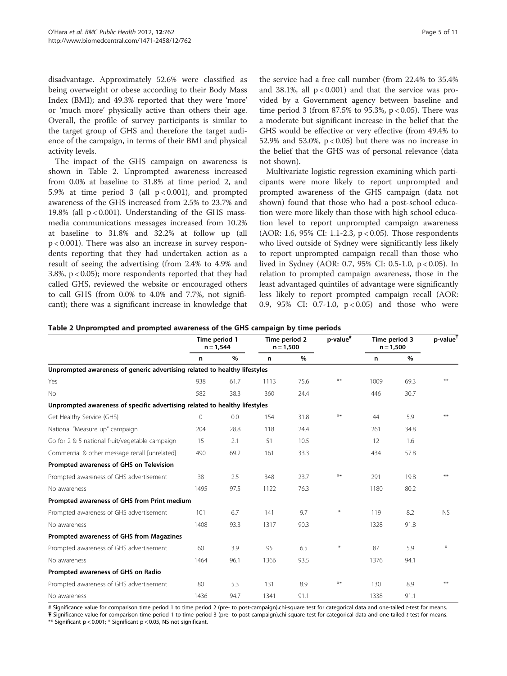disadvantage. Approximately 52.6% were classified as being overweight or obese according to their Body Mass Index (BMI); and 49.3% reported that they were 'more' or 'much more' physically active than others their age. Overall, the profile of survey participants is similar to the target group of GHS and therefore the target audience of the campaign, in terms of their BMI and physical activity levels.

The impact of the GHS campaign on awareness is shown in Table 2. Unprompted awareness increased from 0.0% at baseline to 31.8% at time period 2, and 5.9% at time period 3 (all  $p < 0.001$ ), and prompted awareness of the GHS increased from 2.5% to 23.7% and 19.8% (all  $p < 0.001$ ). Understanding of the GHS massmedia communications messages increased from 10.2% at baseline to 31.8% and 32.2% at follow up (all p < 0.001). There was also an increase in survey respondents reporting that they had undertaken action as a result of seeing the advertising (from 2.4% to 4.9% and 3.8%, p < 0.05); more respondents reported that they had called GHS, reviewed the website or encouraged others to call GHS (from 0.0% to 4.0% and 7.7%, not significant); there was a significant increase in knowledge that

the service had a free call number (from 22.4% to 35.4% and  $38.1\%$ , all  $p < 0.001$ ) and that the service was provided by a Government agency between baseline and time period 3 (from  $87.5\%$  to  $95.3\%$ ,  $p < 0.05$ ). There was a moderate but significant increase in the belief that the GHS would be effective or very effective (from 49.4% to 52.9% and 53.0%,  $p < 0.05$ ) but there was no increase in the belief that the GHS was of personal relevance (data not shown).

Multivariate logistic regression examining which participants were more likely to report unprompted and prompted awareness of the GHS campaign (data not shown) found that those who had a post-school education were more likely than those with high school education level to report unprompted campaign awareness (AOR: 1.6, 95% CI: 1.1-2.3, p < 0.05). Those respondents who lived outside of Sydney were significantly less likely to report unprompted campaign recall than those who lived in Sydney (AOR: 0.7, 95% CI: 0.5-1.0, p < 0.05). In relation to prompted campaign awareness, those in the least advantaged quintiles of advantage were significantly less likely to report prompted campaign recall (AOR: 0.9, 95% CI: 0.7-1.0, p < 0.05) and those who were

|                                                                            | Time period 1<br>$n = 1.544$ |      |      | Time period 2<br>$n = 1,500$ | p-value# | Time period 3<br>$n = 1,500$ | $p$ -value $F$ |           |
|----------------------------------------------------------------------------|------------------------------|------|------|------------------------------|----------|------------------------------|----------------|-----------|
|                                                                            | n                            | %    | n    | %                            |          | n                            | $\%$           |           |
| Unprompted awareness of generic advertising related to healthy lifestyles  |                              |      |      |                              |          |                              |                |           |
| Yes                                                                        | 938                          | 61.7 | 1113 | 75.6                         | **       | 1009                         | 69.3           | **        |
| <b>No</b>                                                                  | 582                          | 38.3 | 360  | 24.4                         |          | 446                          | 30.7           |           |
| Unprompted awareness of specific advertising related to healthy lifestyles |                              |      |      |                              |          |                              |                |           |
| Get Healthy Service (GHS)                                                  | $\Omega$                     | 0.0  | 154  | 31.8                         | **       | 44                           | 5.9            | **        |
| National "Measure up" campaign                                             | 204                          | 28.8 | 118  | 24.4                         |          | 261                          | 34.8           |           |
| Go for 2 & 5 national fruit/vegetable campaign                             | 15                           | 2.1  | 51   | 10.5                         |          | 12                           | 1.6            |           |
| Commercial & other message recall [unrelated]                              | 490                          | 69.2 | 161  | 33.3                         |          | 434                          | 57.8           |           |
| Prompted awareness of GHS on Television                                    |                              |      |      |                              |          |                              |                |           |
| Prompted awareness of GHS advertisement                                    | 38                           | 2.5  | 348  | 23.7                         | **       | 291                          | 19.8           | **        |
| No awareness                                                               | 1495                         | 97.5 | 1122 | 76.3                         |          | 1180                         | 80.2           |           |
| Prompted awareness of GHS from Print medium                                |                              |      |      |                              |          |                              |                |           |
| Prompted awareness of GHS advertisement                                    | 101                          | 6.7  | 141  | 9.7                          | ₩        | 119                          | 8.2            | <b>NS</b> |
| No awareness                                                               | 1408                         | 93.3 | 1317 | 90.3                         |          | 1328                         | 91.8           |           |
| Prompted awareness of GHS from Magazines                                   |                              |      |      |                              |          |                              |                |           |
| Prompted awareness of GHS advertisement                                    | 60                           | 3.9  | 95   | 6.5                          | ⋇        | 87                           | 5.9            | $\ast$    |
| No awareness                                                               | 1464                         | 96.1 | 1366 | 93.5                         |          | 1376                         | 94.1           |           |
| Prompted awareness of GHS on Radio                                         |                              |      |      |                              |          |                              |                |           |
| Prompted awareness of GHS advertisement                                    | 80                           | 5.3  | 131  | 8.9                          | **       | 130                          | 8.9            | **        |
| No awareness                                                               | 1436                         | 94.7 | 1341 | 91.1                         |          | 1338                         | 91.1           |           |

# Significance value for comparison time period 1 to time period 2 (pre- to post-campaign),chi-square test for categorical data and one-tailed t-test for means.

Ŧ Significance value for comparison time period 1 to time period 3 (pre- to post-campaign),chi-square test for categorical data and one-tailed t-test for means. \*\* Significant p < 0.001; \* Significant p < 0.05, NS not significant.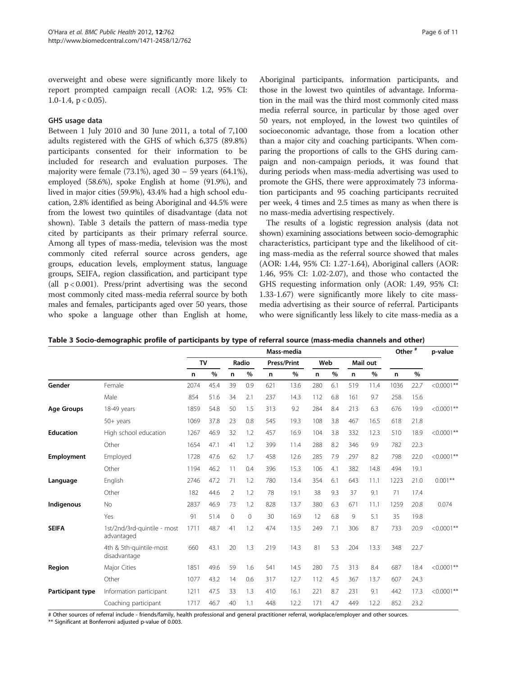overweight and obese were significantly more likely to report prompted campaign recall (AOR: 1.2, 95% CI: 1.0-1.4,  $p < 0.05$ ).

#### GHS usage data

Between 1 July 2010 and 30 June 2011, a total of 7,100 adults registered with the GHS of which 6,375 (89.8%) participants consented for their information to be included for research and evaluation purposes. The majority were female  $(73.1\%)$ , aged  $30 - 59$  years  $(64.1\%)$ , employed (58.6%), spoke English at home (91.9%), and lived in major cities (59.9%), 43.4% had a high school education, 2.8% identified as being Aboriginal and 44.5% were from the lowest two quintiles of disadvantage (data not shown). Table 3 details the pattern of mass-media type cited by participants as their primary referral source. Among all types of mass-media, television was the most commonly cited referral source across genders, age groups, education levels, employment status, language groups, SEIFA, region classification, and participant type (all  $p < 0.001$ ). Press/print advertising was the second most commonly cited mass-media referral source by both males and females, participants aged over 50 years, those who spoke a language other than English at home,

Aboriginal participants, information participants, and those in the lowest two quintiles of advantage. Information in the mail was the third most commonly cited mass media referral source, in particular by those aged over 50 years, not employed, in the lowest two quintiles of socioeconomic advantage, those from a location other than a major city and coaching participants. When comparing the proportions of calls to the GHS during campaign and non-campaign periods, it was found that during periods when mass-media advertising was used to promote the GHS, there were approximately 73 information participants and 95 coaching participants recruited per week, 4 times and 2.5 times as many as when there is no mass-media advertising respectively.

The results of a logistic regression analysis (data not shown) examining associations between socio-demographic characteristics, participant type and the likelihood of citing mass-media as the referral source showed that males (AOR: 1.44, 95% CI: 1.27-1.64), Aboriginal callers (AOR: 1.46, 95% CI: 1.02-2.07), and those who contacted the GHS requesting information only (AOR: 1.49, 95% CI: 1.33-1.67) were significantly more likely to cite massmedia advertising as their source of referral. Participants who were significantly less likely to cite mass-media as a

Table 3 Socio-demographic profile of participants by type of referral source (mass-media channels and other)

|                   |                                           | Mass-media |      |              |         |     |                    |     |     |          |      |      | Other $#$ | p-value       |  |
|-------------------|-------------------------------------------|------------|------|--------------|---------|-----|--------------------|-----|-----|----------|------|------|-----------|---------------|--|
|                   |                                           |            | TV   |              | Radio   |     | <b>Press/Print</b> | Web |     | Mail out |      |      |           |               |  |
|                   |                                           | n          | %    | n            | %       | n   | %                  | n   | %   | n        | $\%$ | n    | $\%$      |               |  |
| Gender            | Female                                    | 2074       | 45.4 | 39           | 0.9     | 621 | 13.6               | 280 | 6.1 | 519      | 11.4 | 1036 | 22.7      | $<$ 0.0001**  |  |
|                   | Male                                      | 854        | 51.6 | 34           | 2.1     | 237 | 14.3               | 112 | 6.8 | 161      | 9.7  | 258  | 15.6      |               |  |
| <b>Age Groups</b> | 18-49 years                               | 1859       | 54.8 | 50           | 1.5     | 313 | 9.2                | 284 | 8.4 | 213      | 6.3  | 676  | 19.9      | $< 0.0001$ ** |  |
|                   | $50+$ years                               | 1069       | 37.8 | 23           | 0.8     | 545 | 19.3               | 108 | 3.8 | 467      | 16.5 | 618  | 21.8      |               |  |
| <b>Education</b>  | High school education                     | 1267       | 46.9 | 32           | 1.2     | 457 | 16.9               | 104 | 3.8 | 332      | 12.3 | 510  | 18.9      | $< 0.0001**$  |  |
|                   | Other                                     | 1654       | 47.1 | 41           | 1.2     | 399 | 11.4               | 288 | 8.2 | 346      | 9.9  | 782  | 22.3      |               |  |
| <b>Employment</b> | Employed                                  | 1728       | 47.6 | 62           | 1.7     | 458 | 12.6               | 285 | 7.9 | 297      | 8.2  | 798  | 22.0      | $< 0.0001$ ** |  |
|                   | Other                                     | 1194       | 46.2 | 11           | 0.4     | 396 | 15.3               | 106 | 4.1 | 382      | 14.8 | 494  | 19.1      |               |  |
| Language          | English                                   | 2746       | 47.2 | 71           | 1.2     | 780 | 13.4               | 354 | 6.1 | 643      | 11.1 | 1223 | 21.0      | $0.001***$    |  |
|                   | Other                                     | 182        | 44.6 | 2            | 1.2     | 78  | 19.1               | 38  | 9.3 | 37       | 9.1  | 71   | 17.4      |               |  |
| Indigenous        | <b>No</b>                                 | 2837       | 46.9 | 73           | 1.2     | 828 | 13.7               | 380 | 6.3 | 671      | 11.1 | 1259 | 20.8      | 0.074         |  |
|                   | Yes                                       | 91         | 51.4 | $\mathbf{0}$ | $\circ$ | 30  | 16.9               | 12  | 6.8 | 9        | 5.1  | 35   | 19.8      |               |  |
| <b>SEIFA</b>      | 1st/2nd/3rd-quintile - most<br>advantaged | 1711       | 48.7 | 41           | 1.2     | 474 | 13.5               | 249 | 7.1 | 306      | 8.7  | 733  | 20.9      | $< 0.0001**$  |  |
|                   | 4th & 5th-quintile-most<br>disadvantage   | 660        | 43.1 | 20           | 1.3     | 219 | 14.3               | 81  | 5.3 | 204      | 13.3 | 348  | 22.7      |               |  |
| Region            | Major Cities                              | 1851       | 49.6 | 59           | 1.6     | 541 | 14.5               | 280 | 7.5 | 313      | 8.4  | 687  | 18.4      | $< 0.0001**$  |  |
|                   | Other                                     | 1077       | 43.2 | 14           | 0.6     | 317 | 12.7               | 112 | 4.5 | 367      | 13.7 | 607  | 24.3      |               |  |
| Participant type  | Information participant                   | 1211       | 47.5 | 33           | 1.3     | 410 | 16.1               | 221 | 8.7 | 231      | 9.1  | 442  | 17.3      | $< 0.0001**$  |  |
|                   | Coaching participant                      | 1717       | 46.7 | 40           | 1.1     | 448 | 12.2               | 171 | 4.7 | 449      | 12.2 | 852  | 23.2      |               |  |

# Other sources of referral include - friends/family, health professional and general practitioner referral, workplace/employer and other sources.

\*\* Significant at Bonferroni adjusted p-value of 0.003.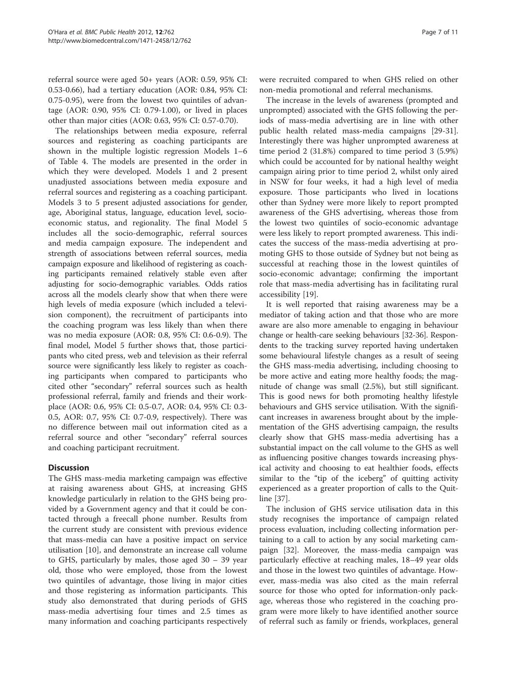referral source were aged 50+ years (AOR: 0.59, 95% CI: 0.53-0.66), had a tertiary education (AOR: 0.84, 95% CI: 0.75-0.95), were from the lowest two quintiles of advantage (AOR: 0.90, 95% CI: 0.79-1.00), or lived in places other than major cities (AOR: 0.63, 95% CI: 0.57-0.70).

The relationships between media exposure, referral sources and registering as coaching participants are shown in the multiple logistic regression Models 1–6 of Table [4](#page-7-0). The models are presented in the order in which they were developed. Models 1 and 2 present unadjusted associations between media exposure and referral sources and registering as a coaching participant. Models 3 to 5 present adjusted associations for gender, age, Aboriginal status, language, education level, socioeconomic status, and regionality. The final Model 5 includes all the socio-demographic, referral sources and media campaign exposure. The independent and strength of associations between referral sources, media campaign exposure and likelihood of registering as coaching participants remained relatively stable even after adjusting for socio-demographic variables. Odds ratios across all the models clearly show that when there were high levels of media exposure (which included a television component), the recruitment of participants into the coaching program was less likely than when there was no media exposure (AOR: 0.8, 95% CI: 0.6-0.9). The final model, Model 5 further shows that, those participants who cited press, web and television as their referral source were significantly less likely to register as coaching participants when compared to participants who cited other "secondary" referral sources such as health professional referral, family and friends and their workplace (AOR: 0.6, 95% CI: 0.5-0.7, AOR: 0.4, 95% CI: 0.3- 0.5, AOR: 0.7, 95% CI: 0.7-0.9, respectively). There was no difference between mail out information cited as a referral source and other "secondary" referral sources and coaching participant recruitment.

## **Discussion**

The GHS mass-media marketing campaign was effective at raising awareness about GHS, at increasing GHS knowledge particularly in relation to the GHS being provided by a Government agency and that it could be contacted through a freecall phone number. Results from the current study are consistent with previous evidence that mass-media can have a positive impact on service utilisation [[10](#page-9-0)], and demonstrate an increase call volume to GHS, particularly by males, those aged 30 – 39 year old, those who were employed, those from the lowest two quintiles of advantage, those living in major cities and those registering as information participants. This study also demonstrated that during periods of GHS mass-media advertising four times and 2.5 times as many information and coaching participants respectively

were recruited compared to when GHS relied on other non-media promotional and referral mechanisms.

The increase in the levels of awareness (prompted and unprompted) associated with the GHS following the periods of mass-media advertising are in line with other public health related mass-media campaigns [\[29-31](#page-10-0)]. Interestingly there was higher unprompted awareness at time period 2 (31.8%) compared to time period 3 (5.9%) which could be accounted for by national healthy weight campaign airing prior to time period 2, whilst only aired in NSW for four weeks, it had a high level of media exposure. Those participants who lived in locations other than Sydney were more likely to report prompted awareness of the GHS advertising, whereas those from the lowest two quintiles of socio-economic advantage were less likely to report prompted awareness. This indicates the success of the mass-media advertising at promoting GHS to those outside of Sydney but not being as successful at reaching those in the lowest quintiles of socio-economic advantage; confirming the important role that mass-media advertising has in facilitating rural accessibility [[19\]](#page-9-0).

It is well reported that raising awareness may be a mediator of taking action and that those who are more aware are also more amenable to engaging in behaviour change or health-care seeking behaviours [\[32-36\]](#page-10-0). Respondents to the tracking survey reported having undertaken some behavioural lifestyle changes as a result of seeing the GHS mass-media advertising, including choosing to be more active and eating more healthy foods; the magnitude of change was small (2.5%), but still significant. This is good news for both promoting healthy lifestyle behaviours and GHS service utilisation. With the significant increases in awareness brought about by the implementation of the GHS advertising campaign, the results clearly show that GHS mass-media advertising has a substantial impact on the call volume to the GHS as well as influencing positive changes towards increasing physical activity and choosing to eat healthier foods, effects similar to the "tip of the iceberg" of quitting activity experienced as a greater proportion of calls to the Quitline [[37](#page-10-0)].

The inclusion of GHS service utilisation data in this study recognises the importance of campaign related process evaluation, including collecting information pertaining to a call to action by any social marketing campaign [\[32\]](#page-10-0). Moreover, the mass-media campaign was particularly effective at reaching males, 18–49 year olds and those in the lowest two quintiles of advantage. However, mass-media was also cited as the main referral source for those who opted for information-only package, whereas those who registered in the coaching program were more likely to have identified another source of referral such as family or friends, workplaces, general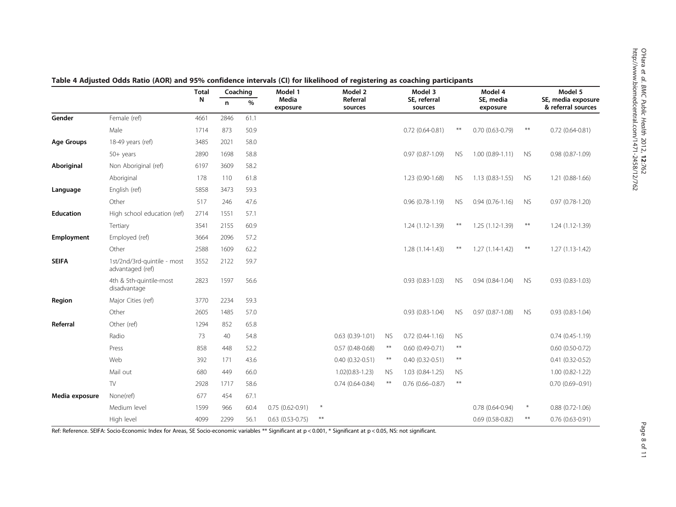|                   |                                                 | <b>Total</b> | Coaching |      | Model 1                |        | Model 2             |              | Model 3                 |            | Model 4               |              | Model 5                                  |
|-------------------|-------------------------------------------------|--------------|----------|------|------------------------|--------|---------------------|--------------|-------------------------|------------|-----------------------|--------------|------------------------------------------|
|                   |                                                 | N            | n        | $\%$ | Media<br>exposure      |        | Referral<br>sources |              | SE, referral<br>sources |            | SE, media<br>exposure |              | SE, media exposure<br>& referral sources |
| Gender            | Female (ref)                                    | 4661         | 2846     | 61.1 |                        |        |                     |              |                         |            |                       |              |                                          |
|                   | Male                                            | 1714         | 873      | 50.9 |                        |        |                     |              | $0.72$ (0.64-0.81)      | $***$      | $0.70(0.63 - 0.79)$   | $***$        | $0.72$ (0.64-0.81)                       |
| <b>Age Groups</b> | 18-49 years (ref)                               | 3485         | 2021     | 58.0 |                        |        |                     |              |                         |            |                       |              |                                          |
|                   | $50+$ years                                     | 2890         | 1698     | 58.8 |                        |        |                     |              | $0.97(0.87-1.09)$       | <b>NS</b>  | $1.00(0.89-1.11)$     | <b>NS</b>    | $0.98(0.87-1.09)$                        |
| Aboriginal        | Non Aboriginal (ref)                            | 6197         | 3609     | 58.2 |                        |        |                     |              |                         |            |                       |              |                                          |
|                   | Aboriginal                                      | 178          | 110      | 61.8 |                        |        |                     |              | 1.23 (0.90-1.68)        | <b>NS</b>  | $1.13(0.83 - 1.55)$   | <b>NS</b>    | 1.21 (0.88-1.66)                         |
| Language          | English (ref)                                   | 5858         | 3473     | 59.3 |                        |        |                     |              |                         |            |                       |              |                                          |
|                   | Other                                           | 517          | 246      | 47.6 |                        |        |                     |              | $0.96(0.78-1.19)$       | <b>NS</b>  | $0.94(0.76-1.16)$     | <b>NS</b>    | $0.97$ $(0.78-1.20)$                     |
| <b>Education</b>  | High school education (ref)                     | 2714         | 1551     | 57.1 |                        |        |                     |              |                         |            |                       |              |                                          |
|                   | Tertiary                                        | 3541         | 2155     | 60.9 |                        |        |                     |              | 1.24 (1.12-1.39)        | $***$      | 1.25 (1.12-1.39)      | $***$        | $1.24(1.12-1.39)$                        |
| <b>Employment</b> | Employed (ref)                                  | 3664         | 2096     | 57.2 |                        |        |                     |              |                         |            |                       |              |                                          |
|                   | Other                                           | 2588         | 1609     | 62.2 |                        |        |                     |              | 1.28 (1.14-1.43)        | $***$      | $1.27(1.14-1.42)$     | $\star\star$ | $1.27(1.13-1.42)$                        |
| <b>SEIFA</b>      | 1st/2nd/3rd-quintile - most<br>advantaged (ref) | 3552         | 2122     | 59.7 |                        |        |                     |              |                         |            |                       |              |                                          |
|                   | 4th & 5th-quintile-most<br>disadvantage         | 2823         | 1597     | 56.6 |                        |        |                     |              | $0.93(0.83 - 1.03)$     | <b>NS</b>  | $0.94(0.84-1.04)$     | <b>NS</b>    | $0.93$ $(0.83 - 1.03)$                   |
| Region            | Major Cities (ref)                              | 3770         | 2234     | 59.3 |                        |        |                     |              |                         |            |                       |              |                                          |
|                   | Other                                           | 2605         | 1485     | 57.0 |                        |        |                     |              | $0.93(0.83 - 1.04)$     | <b>NS</b>  | $0.97(0.87 - 1.08)$   | <b>NS</b>    | $0.93(0.83 - 1.04)$                      |
| Referral          | Other (ref)                                     | 1294         | 852      | 65.8 |                        |        |                     |              |                         |            |                       |              |                                          |
|                   | Radio                                           | 73           | 40       | 54.8 |                        |        | $0.63(0.39-1.01)$   | <b>NS</b>    | $0.72(0.44 - 1.16)$     | <b>NS</b>  |                       |              | $0.74(0.45-1.19)$                        |
|                   | Press                                           | 858          | 448      | 52.2 |                        |        | $0.57(0.48 - 0.68)$ | $***$        | $0.60(0.49 - 0.71)$     | $\ast\ast$ |                       |              | $0.60$ $(0.50 - 0.72)$                   |
|                   | Web                                             | 392          | 171      | 43.6 |                        |        | $0.40(0.32 - 0.51)$ | $\ast\ast$   | $0.40(0.32 - 0.51)$     | $\ast\ast$ |                       |              | $0.41(0.32 - 0.52)$                      |
|                   | Mail out                                        | 680          | 449      | 66.0 |                        |        | $1.02(0.83 - 1.23)$ | <b>NS</b>    | 1.03 (0.84-1.25)        | <b>NS</b>  |                       |              | $1.00(0.82 - 1.22)$                      |
|                   | TV                                              | 2928         | 1717     | 58.6 |                        |        | $0.74(0.64 - 0.84)$ | $\star\star$ | $0.76$ (0.66-0.87)      | $\ast\ast$ |                       |              | $0.70(0.69 - 0.91)$                      |
| Media exposure    | None(ref)                                       | 677          | 454      | 67.1 |                        |        |                     |              |                         |            |                       |              |                                          |
|                   | Medium level                                    | 1599         | 966      | 60.4 | $0.75(0.62 - 0.91)$    | $\ast$ |                     |              |                         |            | $0.78(0.64 - 0.94)$   | $\ast$       | $0.88(0.72 - 1.06)$                      |
|                   | High level                                      | 4099         | 2299     | 56.1 | $0.63$ $(0.53 - 0.75)$ | $***$  |                     |              |                         |            | $0.69(0.58-0.82)$     | $***$        | $0.76$ $(0.63 - 0.91)$                   |

<span id="page-7-0"></span>

|  | Table 4 Adjusted Odds Ratio (AOR) and 95% confidence intervals (CI) for likelihood of registering as coaching participants |  |  |  |
|--|----------------------------------------------------------------------------------------------------------------------------|--|--|--|
|  |                                                                                                                            |  |  |  |

Ref: Reference. SEIFA: Socio-Economic Index for Areas, SE Socio-economic variables \*\* Significant at p <sup>&</sup>lt; 0.001, \* Significant at p <sup>&</sup>lt; 0.05, NS: not significant.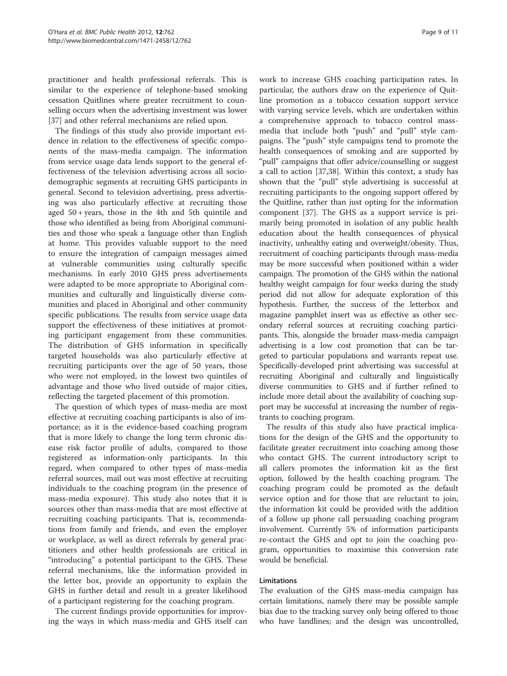practitioner and health professional referrals. This is similar to the experience of telephone-based smoking cessation Quitlines where greater recruitment to counselling occurs when the advertising investment was lower [[37\]](#page-10-0) and other referral mechanisms are relied upon.

The findings of this study also provide important evidence in relation to the effectiveness of specific components of the mass-media campaign. The information from service usage data lends support to the general effectiveness of the television advertising across all sociodemographic segments at recruiting GHS participants in general. Second to television advertising, press advertising was also particularly effective at recruiting those aged  $50 + years$ , those in the 4th and 5th quintile and those who identified as being from Aboriginal communities and those who speak a language other than English at home. This provides valuable support to the need to ensure the integration of campaign messages aimed at vulnerable communities using culturally specific mechanisms. In early 2010 GHS press advertisements were adapted to be more appropriate to Aboriginal communities and culturally and linguistically diverse communities and placed in Aboriginal and other community specific publications. The results from service usage data support the effectiveness of these initiatives at promoting participant engagement from these communities. The distribution of GHS information in specifically targeted households was also particularly effective at recruiting participants over the age of 50 years, those who were not employed, in the lowest two quintiles of advantage and those who lived outside of major cities, reflecting the targeted placement of this promotion.

The question of which types of mass-media are most effective at recruiting coaching participants is also of importance; as it is the evidence-based coaching program that is more likely to change the long term chronic disease risk factor profile of adults, compared to those registered as information-only participants. In this regard, when compared to other types of mass-media referral sources, mail out was most effective at recruiting individuals to the coaching program (in the presence of mass-media exposure). This study also notes that it is sources other than mass-media that are most effective at recruiting coaching participants. That is, recommendations from family and friends, and even the employer or workplace, as well as direct referrals by general practitioners and other health professionals are critical in "introducing" a potential participant to the GHS. These referral mechanisms, like the information provided in the letter box, provide an opportunity to explain the GHS in further detail and result in a greater likelihood of a participant registering for the coaching program.

The current findings provide opportunities for improving the ways in which mass-media and GHS itself can

work to increase GHS coaching participation rates. In particular, the authors draw on the experience of Quitline promotion as a tobacco cessation support service with varying service levels, which are undertaken within a comprehensive approach to tobacco control massmedia that include both "push" and "pull" style campaigns. The "push" style campaigns tend to promote the health consequences of smoking and are supported by "pull" campaigns that offer advice/counselling or suggest a call to action [[37,38](#page-10-0)]. Within this context, a study has shown that the "pull" style advertising is successful at recruiting participants to the ongoing support offered by the Quitline, rather than just opting for the information component [[37\]](#page-10-0). The GHS as a support service is primarily being promoted in isolation of any public health education about the health consequences of physical inactivity, unhealthy eating and overweight/obesity. Thus, recruitment of coaching participants through mass-media may be more successful when positioned within a wider campaign. The promotion of the GHS within the national healthy weight campaign for four weeks during the study period did not allow for adequate exploration of this hypothesis. Further, the success of the letterbox and magazine pamphlet insert was as effective as other secondary referral sources at recruiting coaching participants. This, alongside the broader mass-media campaign advertising is a low cost promotion that can be targeted to particular populations and warrants repeat use. Specifically-developed print advertising was successful at recruiting Aboriginal and culturally and linguistically diverse communities to GHS and if further refined to include more detail about the availability of coaching support may be successful at increasing the number of registrants to coaching program.

The results of this study also have practical implications for the design of the GHS and the opportunity to facilitate greater recruitment into coaching among those who contact GHS. The current introductory script to all callers promotes the information kit as the first option, followed by the health coaching program. The coaching program could be promoted as the default service option and for those that are reluctant to join, the information kit could be provided with the addition of a follow up phone call persuading coaching program involvement. Currently 5% of information participants re-contact the GHS and opt to join the coaching program, opportunities to maximise this conversion rate would be beneficial.

#### Limitations

The evaluation of the GHS mass-media campaign has certain limitations, namely there may be possible sample bias due to the tracking survey only being offered to those who have landlines; and the design was uncontrolled,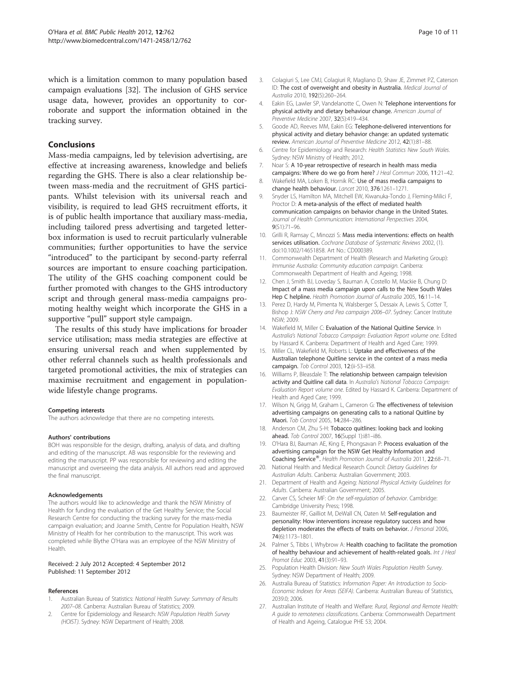<span id="page-9-0"></span>which is a limitation common to many population based campaign evaluations [\[32\]](#page-10-0). The inclusion of GHS service usage data, however, provides an opportunity to corroborate and support the information obtained in the tracking survey.

#### Conclusions

Mass-media campaigns, led by television advertising, are effective at increasing awareness, knowledge and beliefs regarding the GHS. There is also a clear relationship between mass-media and the recruitment of GHS participants. Whilst television with its universal reach and visibility, is required to lead GHS recruitment efforts, it is of public health importance that auxiliary mass-media, including tailored press advertising and targeted letterbox information is used to recruit particularly vulnerable communities; further opportunities to have the service "introduced" to the participant by second-party referral sources are important to ensure coaching participation. The utility of the GHS coaching component could be further promoted with changes to the GHS introductory script and through general mass-media campaigns promoting healthy weight which incorporate the GHS in a supportive "pull" support style campaign.

The results of this study have implications for broader service utilisation; mass media strategies are effective at ensuring universal reach and when supplemented by other referral channels such as health professionals and targeted promotional activities, the mix of strategies can maximise recruitment and engagement in populationwide lifestyle change programs.

#### Competing interests

The authors acknowledge that there are no competing interests.

#### Authors' contributions

BOH was responsible for the design, drafting, analysis of data, and drafting and editing of the manuscript. AB was responsible for the reviewing and editing the manuscript. PP was responsible for reviewing and editing the manuscript and overseeing the data analysis. All authors read and approved the final manuscript.

#### Acknowledgements

The authors would like to acknowledge and thank the NSW Ministry of Health for funding the evaluation of the Get Healthy Service; the Social Research Centre for conducting the tracking survey for the mass-media campaign evaluation; and Joanne Smith, Centre for Population Health, NSW Ministry of Health for her contribution to the manuscript. This work was completed while Blythe O'Hara was an employee of the NSW Ministry of Health.

#### Received: 2 July 2012 Accepted: 4 September 2012 Published: 11 September 2012

#### References

- Australian Bureau of Statistics: National Health Survey: Summary of Results 2007–08. Canberra: Australian Bureau of Statistics; 2009.
- 2. Centre for Epidemiology and Research: NSW Population Health Survey (HOIST). Sydney: NSW Department of Health; 2008.
- 3. Colagiuri S, Lee CMJ, Colagiuri R, Magliano D, Shaw JE, Zimmet PZ, Caterson ID: The cost of overweight and obesity in Australia. Medical Journal of Australia 2010, 192(5):260–264.
- 4. Eakin EG, Lawler SP, Vandelanotte C, Owen N: Telephone interventions for physical activity and dietary behaviour change. American Journal of Preventive Medicine 2007, 32(5):419–434.
- 5. Goode AD, Reeves MM, Eakin EG: Telephone-delivered interventions for physical activity and dietary behavior change: an updated systematic review. American Journal of Preventive Medicine 2012, 42(1):81–88.
- 6. Centre for Epidemiology and Research: Health Statistics New South Wales. Sydney: NSW Ministry of Health; 2012.
- 7. Noar S: A 10-year retrospective of research in health mass media campaigns: Where do we go from here? J Heal Commun 2006, 11:21-42.
- 8. Wakefield MA, Loken B, Hornik RC: Use of mass media campaigns to change health behaviour. Lancet 2010, 376:1261–1271.
- 9. Snyder LS, Hamilton MA, Mitchell EW, Kiwanuka-Tondo J, Fleming-Milici F, Proctor D: A meta-analysis of the effect of mediated health communication campaigns on behavior change in the United States. Journal of Health Communication: International Perspectives 2004, 9(S1):71–96.
- 10. Grilli R, Ramsay C, Minozzi S: Mass media interventions: effects on health services utilisation. Cochrane Database of Systematic Reviews 2002, (1). doi[:10.1002/14651858](http://dx.doi.org/10.1002/14651858). Art No.: CD000389.
- 11. Commonwealth Department of Health (Research and Marketing Group): Immunise Australia: Community education campaign. Canberra: Commonwealth Department of Health and Ageing; 1998.
- 12. Chen J, Smith BJ, Loveday S, Bauman A, Costello M, Mackie B, Chung D: Impact of a mass media campaign upon calls to the New South Wales Hep C helpline. Health Promotion Journal of Australia 2005, 16:11–14.
- 13. Perez D, Hardy M, Pimenta N, Walsberger S, Dessaix A, Lewis S, Cotter T, Bishop J: NSW Cherry and Pea campaign 2006–07. Sydney: Cancer Institute NSW; 2009.
- 14. Wakefield M, Miller C: Evaluation of the National Quitline Service. In Australia's National Tobacco Campaign: Evaluation Report volume one. Edited by Hassard K. Canberra: Department of Health and Aged Care; 1999.
- 15. Miller CL, Wakefield M, Roberts L: Uptake and effectiveness of the Australian telephone Quitline service in the context of a mass media campaign. Tob Control 2003, 12:(ii-53–ii58.
- 16. Williams P, Bleasdale T: The relationship between campaign television activity and Quitline call data. In Australia's National Tobacco Campaign: Evaluation Report volume one. Edited by Hassard K. Canberra: Department of Health and Aged Care; 1999.
- 17. Wilson N, Grigg M, Graham L, Cameron G: The effectiveness of television advertising campaigns on generating calls to a national Quitline by Maori. Tob Control 2005, 14:284–286.
- 18. Anderson CM, Zhu S-H: Tobacco quitlines: looking back and looking ahead. Tob Control 2007, 16(Suppl 1):i81–i86.
- 19. O'Hara BJ, Bauman AE, King E, Phongsavan P: Process evaluation of the advertising campaign for the NSW Get Healthy Information and Coaching Service<sup>®</sup>. Health Promotion Journal of Australia 2011, 22:68-71.
- 20. National Health and Medical Research Council: Dietary Guidelines for Australian Adults. Canberra: Australian Government; 2003.
- 21. Department of Health and Ageing: National Physical Activity Guidelines for Adults. Canberra: Australian Government; 2005.
- 22. Carver CS, Scheier MF: On the self-regulation of behavior. Cambridge: Cambridge University Press; 1998.
- 23. Baumeister RF, Gailliot M, DeWall CN, Oaten M: Self-regulation and personality: How interventions increase regulatory success and how depletion moderates the effects of traits on behavior. J Personal 2006, 74(6):1173–1801.
- 24. Palmer S, Tibbs I, Whybrow A: Health coaching to facilitate the promotion of healthy behaviour and achievement of health-related goals. Int J Heal Promot Educ 2003, 41(3):91–93.
- 25. Population Health Division: New South Wales Population Health Survey. Sydney: NSW Department of Health; 2009.
- 26. Australia Bureau of Statistics: Information Paper: An Introduction to Socio-Economic Indexes for Areas (SEIFA). Canberra: Australian Bureau of Statistics, 2039.0; 2006.
- 27. Australian Institute of Health and Welfare: Rural, Regional and Remote Health: A guide to remoteness classifications. Canberra: Commonwealth Department of Health and Ageing, Catalogue PHE 53; 2004.